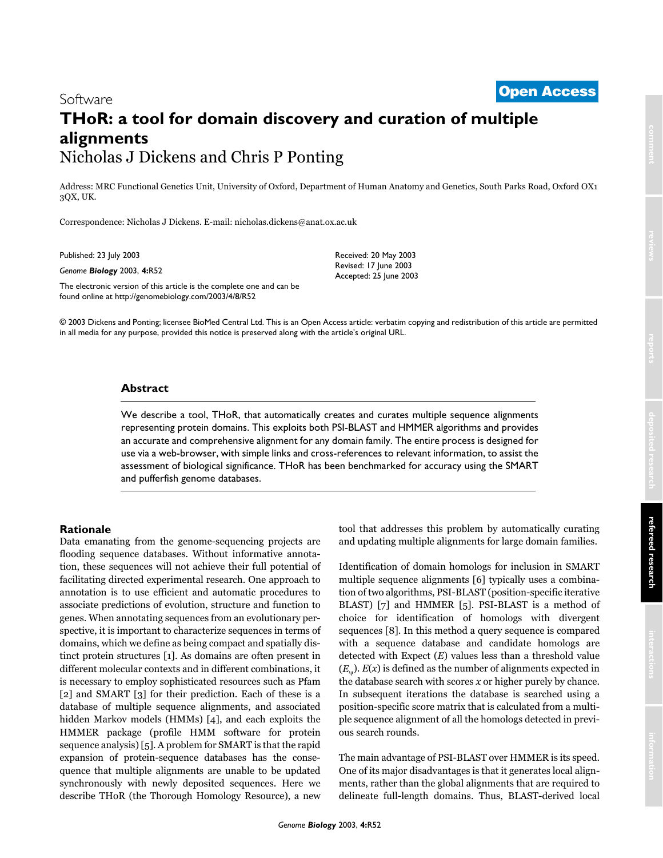# 2003 **[Open Access](http://www.biomedcentral.com/info/about/charter/)** Software **THoR: a tool for domain discovery and curation of multiple alignments** Nicholas J Dickens and Chris P Ponting

Address: MRC Functional Genetics Unit, University of Oxford, Department of Human Anatomy and Genetics, South Parks Road, Oxford OX1 3QX, UK.

Correspondence: Nicholas J Dickens. E-mail: nicholas.dickens@anat.ox.ac.uk

Published: 23 July 2003

*Genome Biology* 2003, **4:**R52

[The electronic version of this article is the complete one and can be](http://genomebiology.com/2003/4/8/R52)  found online at http://genomebiology.com/2003/4/8/R52

Received: 20 May 2003 Revised: 17 June 2003 Accepted: 25 June 2003

© 2003 Dickens and Ponting; licensee BioMed Central Ltd. This is an Open Access article: verbatim copying and redistribution of this article are permitted in all media for any purpose, provided this notice is preserved along with the article's original URL.

#### **Abstract**

We describe a tool, THoR, that automatically creates and curates multiple sequence alignments representing protein domains. This exploits both PSI-BLAST and HMMER algorithms and provides an accurate and comprehensive alignment for any domain family. The entire process is designed for use via a web-browser, with simple links and cross-references to relevant information, to assist the assessment of biological significance. THoR has been benchmarked for accuracy using the SMART and pufferfish genome databases.

## **Rationale**

Data emanating from the genome-sequencing projects are flooding sequence databases. Without informative annotation, these sequences will not achieve their full potential of facilitating directed experimental research. One approach to annotation is to use efficient and automatic procedures to associate predictions of evolution, structure and function to genes. When annotating sequences from an evolutionary perspective, it is important to characterize sequences in terms of domains, which we define as being compact and spatially distinct protein structures [1]. As domains are often present in different molecular contexts and in different combinations, it is necessary to employ sophisticated resources such as Pfam [2] and SMART [3] for their prediction. Each of these is a database of multiple sequence alignments, and associated hidden Markov models (HMMs) [4], and each exploits the HMMER package (profile HMM software for protein sequence analysis) [5]. A problem for SMART is that the rapid expansion of protein-sequence databases has the consequence that multiple alignments are unable to be updated synchronously with newly deposited sequences. Here we describe THoR (the Thorough Homology Resource), a new tool that addresses this problem by automatically curating and updating multiple alignments for large domain families.

Identification of domain homologs for inclusion in SMART multiple sequence alignments [6] typically uses a combination of two algorithms, PSI-BLAST (position-specific iterative BLAST) [7] and HMMER [5]. PSI-BLAST is a method of choice for identification of homologs with divergent sequences [8]. In this method a query sequence is compared with a sequence database and candidate homologs are detected with Expect (*E*) values less than a threshold value  $(E_w)$ .  $E(x)$  is defined as the number of alignments expected in the database search with scores *x* or higher purely by chance. In subsequent iterations the database is searched using a position-specific score matrix that is calculated from a multiple sequence alignment of all the homologs detected in previous search rounds.

The main advantage of PSI-BLAST over HMMER is its speed. One of its major disadvantages is that it generates local alignments, rather than the global alignments that are required to delineate full-length domains. Thus, BLAST-derived local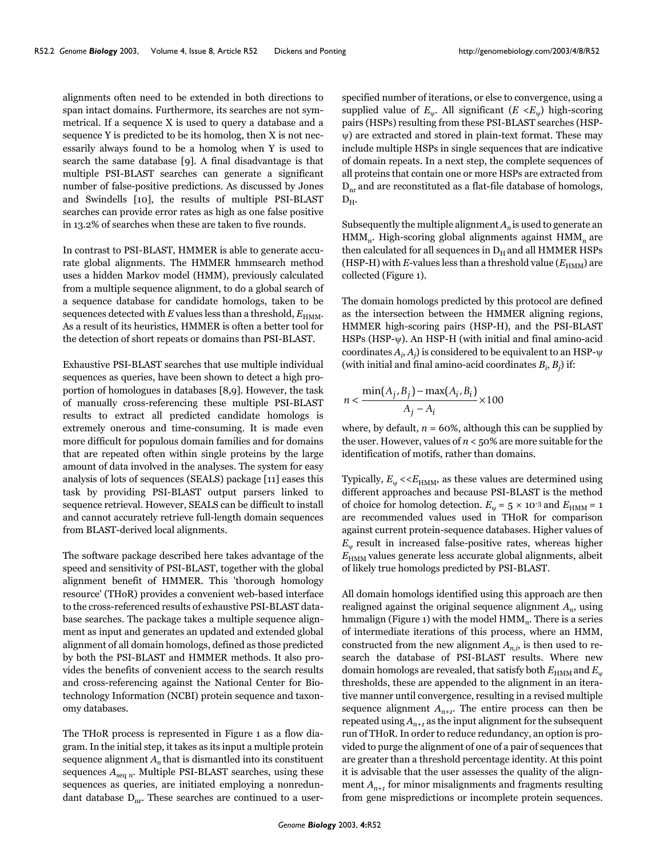alignments often need to be extended in both directions to span intact domains. Furthermore, its searches are not symmetrical. If a sequence X is used to query a database and a sequence Y is predicted to be its homolog, then X is not necessarily always found to be a homolog when Y is used to search the same database [9]. A final disadvantage is that multiple PSI-BLAST searches can generate a significant number of false-positive predictions. As discussed by Jones and Swindells [10], the results of multiple PSI-BLAST searches can provide error rates as high as one false positive in 13.2% of searches when these are taken to five rounds.

In contrast to PSI-BLAST, HMMER is able to generate accurate global alignments. The HMMER hmmsearch method uses a hidden Markov model (HMM), previously calculated from a multiple sequence alignment, to do a global search of a sequence database for candidate homologs, taken to be sequences detected with  $E$  values less than a threshold,  $E_{HMM}$ . As a result of its heuristics, HMMER is often a better tool for the detection of short repeats or domains than PSI-BLAST.

Exhaustive PSI-BLAST searches that use multiple individual sequences as queries, have been shown to detect a high proportion of homologues in databases [8,9]. However, the task of manually cross-referencing these multiple PSI-BLAST results to extract all predicted candidate homologs is extremely onerous and time-consuming. It is made even more difficult for populous domain families and for domains that are repeated often within single proteins by the large amount of data involved in the analyses. The system for easy analysis of lots of sequences (SEALS) package [11] eases this task by providing PSI-BLAST output parsers linked to sequence retrieval. However, SEALS can be difficult to install and cannot accurately retrieve full-length domain sequences from BLAST-derived local alignments.

The software package described here takes advantage of the speed and sensitivity of PSI-BLAST, together with the global alignment benefit of HMMER. This 'thorough homology resource' (THoR) provides a convenient web-based interface to the cross-referenced results of exhaustive PSI-BLAST database searches. The package takes a multiple sequence alignment as input and generates an updated and extended global alignment of all domain homologs, defined as those predicted by both the PSI-BLAST and HMMER methods. It also provides the benefits of convenient access to the search results and cross-referencing against the National Center for Biotechnology Information (NCBI) protein sequence and taxonomy databases.

The THoR process is represented in Figure [1](#page-2-0) as a flow diagram. In the initial step, it takes as its input a multiple protein sequence alignment  $A_n$  that is dismantled into its constituent sequences  $A_{seq n}$ . Multiple PSI-BLAST searches, using these sequences as queries, are initiated employing a nonredundant database  $D_{nr}$ . These searches are continued to a userspecified number of iterations, or else to convergence, using a supplied value of  $E_{\mu}$ . All significant ( $E \lt E_{\mu}$ ) high-scoring pairs (HSPs) resulting from these PSI-BLAST searches (HSP- $\psi$ ) are extracted and stored in plain-text format. These may include multiple HSPs in single sequences that are indicative of domain repeats. In a next step, the complete sequences of all proteins that contain one or more HSPs are extracted from  $D_{nr}$  and are reconstituted as a flat-file database of homologs,  $D_{H}$ .

Subsequently the multiple alignment  $A_n$  is used to generate an HMM*n*. High-scoring global alignments against HMM*n* are then calculated for all sequences in  $D_H$  and all HMMER HSPs (HSP-H) with  $E$ -values less than a threshold value  $(E_{HMM})$  are collected (Figure [1](#page-2-0)).

The domain homologs predicted by this protocol are defined as the intersection between the HMMER aligning regions, HMMER high-scoring pairs (HSP-H), and the PSI-BLAST HSPs (HSP-ψ). An HSP-H (with initial and final amino-acid  $\operatorname{coordinates} A_i, A_j)$  is  $\operatorname{considered}$  to be equivalent to an HSP- $\psi$ (with initial and final amino-acid coordinates  $B_i$ ,  $B_j$ ) if:

$$
n < \frac{\min(A_j, B_j) - \max(A_i, B_i)}{A_j - A_i} \times 100
$$

where, by default,  $n = 60\%$ , although this can be supplied by the user. However, values of  $n < 50\%$  are more suitable for the identification of motifs, rather than domains.

Typically,  $E_{\psi} \ll E_{\text{HMM}}$ , as these values are determined using different approaches and because PSI-BLAST is the method of choice for homolog detection.  $E_w = 5 \times 10^{-3}$  and  $E_{HMM} = 1$ are recommended values used in THoR for comparison against current protein-sequence databases. Higher values of  $E_{\mu}$  result in increased false-positive rates, whereas higher  $E_{HMM}$  values generate less accurate global alignments, albeit of likely true homologs predicted by PSI-BLAST.

All domain homologs identified using this approach are then realigned against the original sequence alignment *An*, using hmmalign (Figure [1\)](#page-2-0) with the model HMM*n*. There is a series of intermediate iterations of this process, where an HMM, constructed from the new alignment  $A_{n,i}$ , is then used to research the database of PSI-BLAST results. Where new domain homologs are revealed, that satisfy both  $E_{\text{HMM}}$  and  $E_w$ thresholds, these are appended to the alignment in an iterative manner until convergence, resulting in a revised multiple sequence alignment  $A_{n+1}$ . The entire process can then be repeated using  $A_{n+1}$  as the input alignment for the subsequent run of THoR. In order to reduce redundancy, an option is provided to purge the alignment of one of a pair of sequences that are greater than a threshold percentage identity. At this point it is advisable that the user assesses the quality of the alignment  $A_{n+1}$  for minor misalignments and fragments resulting from gene mispredictions or incomplete protein sequences.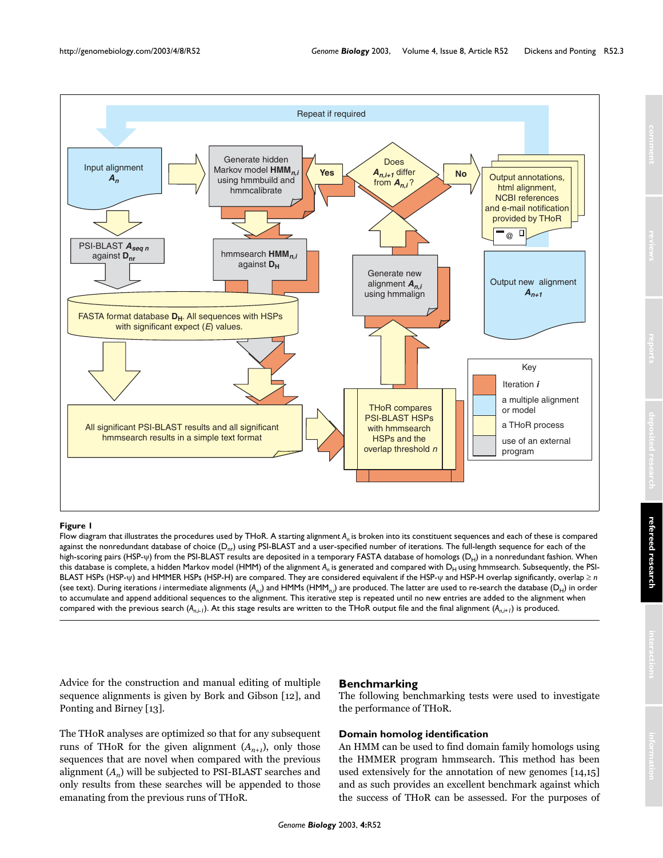<span id="page-2-0"></span>

#### Figure 1

Flow diagram that illustrates the procedures used by THoR. A starting alignment *An* is broken into its constituent sequences and each of these is compared against the nonredundant database of choice  $(D_{nr})$  using PSI-BLAST and a user-specified number of iterations. The full-length sequence for each of the high-scoring pairs (HSP- $\psi$ ) from the PSI-BLAST results are deposited in a temporary FASTA database of homologs ( $D_H$ ) in a nonredundant fashion. When this database is complete, a hidden Markov model (HMM) of the alignment A<sub>n</sub> is generated and compared with D<sub>H</sub> using hmmsearch. Subsequently, the PSI-BLAST HSPs (HSP- $\psi$ ) and HMMER HSPs (HSP-H) are compared. They are considered equivalent if the HSP- $\psi$  and HSP-H overlap significantly, overlap  $\ge n$ (see text). During iterations *i* intermediate alignments (A<sub>n,</sub>j and HMMs (HMM<sub>n,</sub>j) are produced. The latter are used to re-search the database (D<sub>H</sub>) in order to accumulate and append additional sequences to the alignment. This iterative step is repeated until no new entries are added to the alignment when compared with the previous search (*An*,*i*-*1*). At this stage results are written to the THoR output file and the final alignment (*An*,*i*+*1*) is produced.

Advice for the construction and manual editing of multiple sequence alignments is given by Bork and Gibson [12], and Ponting and Birney [13].

## The THoR analyses are optimized so that for any subsequent runs of THoR for the given alignment  $(A_{n+1})$ , only those sequences that are novel when compared with the previous alignment  $(A_n)$  will be subjected to PSI-BLAST searches and only results from these searches will be appended to those emanating from the previous runs of THoR.

## **Benchmarking**

The following benchmarking tests were used to investigate the performance of THoR.

#### **Domain homolog identification**

An HMM can be used to find domain family homologs using the HMMER program hmmsearch. This method has been used extensively for the annotation of new genomes [14,15] and as such provides an excellent benchmark against which the success of THoR can be assessed. For the purposes of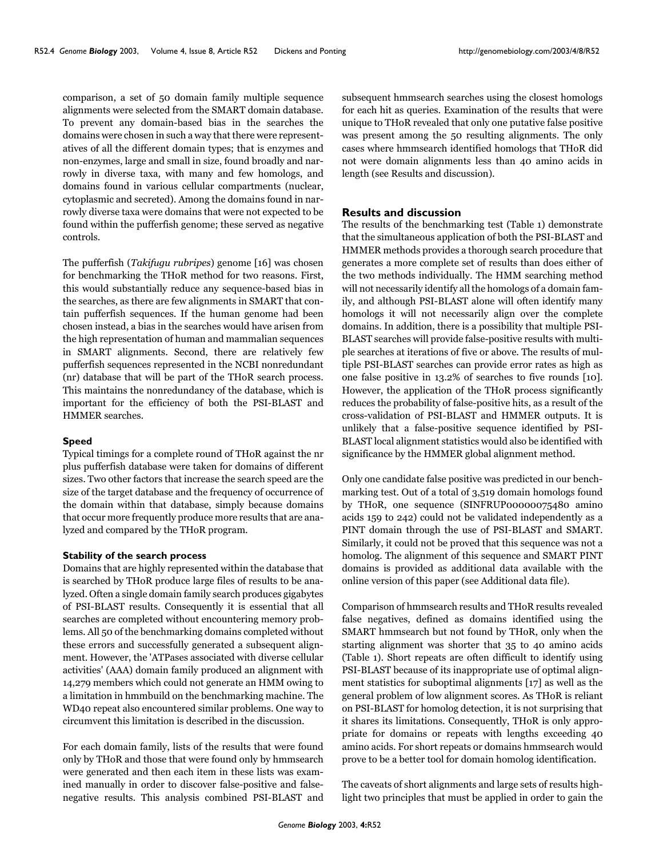comparison, a set of 50 domain family multiple sequence alignments were selected from the SMART domain database. To prevent any domain-based bias in the searches the domains were chosen in such a way that there were representatives of all the different domain types; that is enzymes and non-enzymes, large and small in size, found broadly and narrowly in diverse taxa, with many and few homologs, and domains found in various cellular compartments (nuclear, cytoplasmic and secreted). Among the domains found in narrowly diverse taxa were domains that were not expected to be found within the pufferfish genome; these served as negative controls.

The pufferfish (*Takifugu rubripes*) genome [\[16](#page-6-0)] was chosen for benchmarking the THoR method for two reasons. First, this would substantially reduce any sequence-based bias in the searches, as there are few alignments in SMART that contain pufferfish sequences. If the human genome had been chosen instead, a bias in the searches would have arisen from the high representation of human and mammalian sequences in SMART alignments. Second, there are relatively few pufferfish sequences represented in the NCBI nonredundant (nr) database that will be part of the THoR search process. This maintains the nonredundancy of the database, which is important for the efficiency of both the PSI-BLAST and HMMER searches.

#### **Speed**

Typical timings for a complete round of THoR against the nr plus pufferfish database were taken for domains of different sizes. Two other factors that increase the search speed are the size of the target database and the frequency of occurrence of the domain within that database, simply because domains that occur more frequently produce more results that are analyzed and compared by the THoR program.

#### **Stability of the search process**

Domains that are highly represented within the database that is searched by THoR produce large files of results to be analyzed. Often a single domain family search produces gigabytes of PSI-BLAST results. Consequently it is essential that all searches are completed without encountering memory problems. All 50 of the benchmarking domains completed without these errors and successfully generated a subsequent alignment. However, the 'ATPases associated with diverse cellular activities' (AAA) domain family produced an alignment with 14,279 members which could not generate an HMM owing to a limitation in hmmbuild on the benchmarking machine. The WD40 repeat also encountered similar problems. One way to circumvent this limitation is described in the discussion.

For each domain family, lists of the results that were found only by THoR and those that were found only by hmmsearch were generated and then each item in these lists was examined manually in order to discover false-positive and falsenegative results. This analysis combined PSI-BLAST and

subsequent hmmsearch searches using the closest homologs for each hit as queries. Examination of the results that were unique to THoR revealed that only one putative false positive was present among the 50 resulting alignments. The only cases where hmmsearch identified homologs that THoR did not were domain alignments less than 40 amino acids in length (see Results and discussion).

## **Results and discussion**

The results of the benchmarking test (Table [1](#page-4-0)) demonstrate that the simultaneous application of both the PSI-BLAST and HMMER methods provides a thorough search procedure that generates a more complete set of results than does either of the two methods individually. The HMM searching method will not necessarily identify all the homologs of a domain family, and although PSI-BLAST alone will often identify many homologs it will not necessarily align over the complete domains. In addition, there is a possibility that multiple PSI-BLAST searches will provide false-positive results with multiple searches at iterations of five or above. The results of multiple PSI-BLAST searches can provide error rates as high as one false positive in 13.2% of searches to five rounds [10]. However, the application of the THoR process significantly reduces the probability of false-positive hits, as a result of the cross-validation of PSI-BLAST and HMMER outputs. It is unlikely that a false-positive sequence identified by PSI-BLAST local alignment statistics would also be identified with significance by the HMMER global alignment method.

Only one candidate false positive was predicted in our benchmarking test. Out of a total of 3,519 domain homologs found by THoR, one sequence (SINFRUP00000075480 amino acids 159 to 242) could not be validated independently as a PINT domain through the use of PSI-BLAST and SMART. Similarly, it could not be proved that this sequence was not a homolog. The alignment of this sequence and SMART PINT domains is provided as additional data available with the online version of this paper (see Additional data file).

Comparison of hmmsearch results and THoR results revealed false negatives, defined as domains identified using the SMART hmmsearch but not found by THoR, only when the starting alignment was shorter that 35 to 40 amino acids (Table [1\)](#page-4-0). Short repeats are often difficult to identify using PSI-BLAST because of its inappropriate use of optimal alignment statistics for suboptimal alignments [17] as well as the general problem of low alignment scores. As THoR is reliant on PSI-BLAST for homolog detection, it is not surprising that it shares its limitations. Consequently, THoR is only appropriate for domains or repeats with lengths exceeding 40 amino acids. For short repeats or domains hmmsearch would prove to be a better tool for domain homolog identification.

The caveats of short alignments and large sets of results highlight two principles that must be applied in order to gain the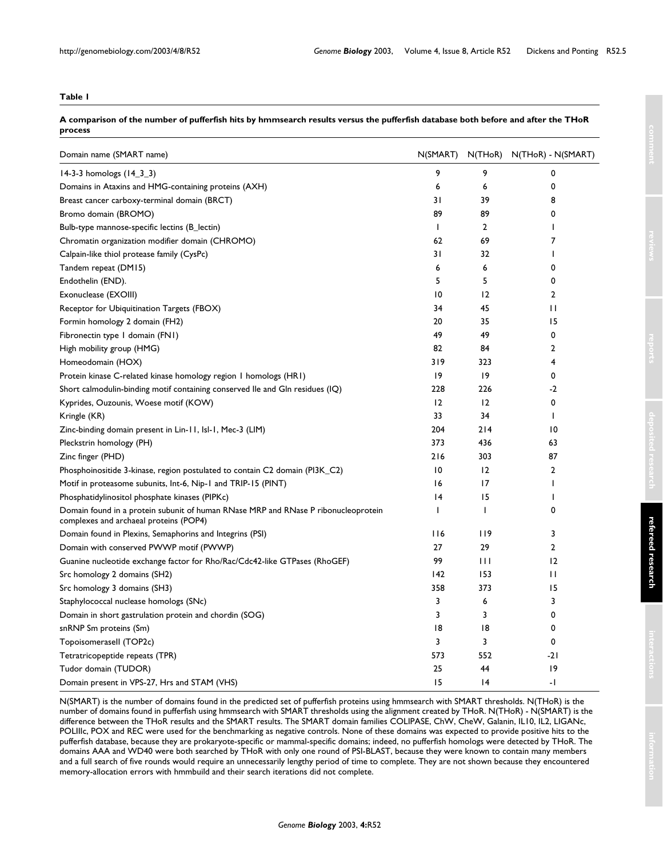#### <span id="page-4-0"></span>**Table 1**

## **A comparison of the number of pufferfish hits by hmmsearch results versus the pufferfish database both before and after the THoR process**

| Domain name (SMART name)                                                                                                     | N(SMART)        | N(THoR)        | N(THoR) - N(SMART) |
|------------------------------------------------------------------------------------------------------------------------------|-----------------|----------------|--------------------|
| 14-3-3 homologs $(14_3_3)$                                                                                                   | 9               | 9              | 0                  |
| Domains in Ataxins and HMG-containing proteins (AXH)                                                                         | 6               | 6              | 0                  |
| Breast cancer carboxy-terminal domain (BRCT)                                                                                 | 31              | 39             | 8                  |
| Bromo domain (BROMO)                                                                                                         | 89              | 89             | 0                  |
| Bulb-type mannose-specific lectins (B_lectin)                                                                                | $\mathbf{I}$    | $\overline{2}$ | I.                 |
| Chromatin organization modifier domain (CHROMO)                                                                              | 62              | 69             | 7                  |
| Calpain-like thiol protease family (CysPc)                                                                                   | 31              | 32             | I.                 |
| Tandem repeat (DM15)                                                                                                         | 6               | 6              | 0                  |
| Endothelin (END).                                                                                                            | 5               | 5              | 0                  |
| Exonuclease (EXOIII)                                                                                                         | $\overline{10}$ | 12             | $\overline{2}$     |
| Receptor for Ubiquitination Targets (FBOX)                                                                                   | 34              | 45             | П                  |
| Formin homology 2 domain (FH2)                                                                                               | 20              | 35             | 15                 |
| Fibronectin type I domain (FNI)                                                                                              | 49              | 49             | 0                  |
| High mobility group (HMG)                                                                                                    | 82              | 84             | $\overline{2}$     |
| Homeodomain (HOX)                                                                                                            | 319             | 323            | 4                  |
| Protein kinase C-related kinase homology region 1 homologs (HR1)                                                             | 9               | 19             | 0                  |
| Short calmodulin-binding motif containing conserved lle and Gln residues (IQ)                                                | 228             | 226            | $-2$               |
| Kyprides, Ouzounis, Woese motif (KOW)                                                                                        | $\overline{2}$  | 12             | 0                  |
| Kringle (KR)                                                                                                                 | 33              | 34             | T                  |
| Zinc-binding domain present in Lin-11, Isl-1, Mec-3 (LIM)                                                                    | 204             | 214            | $\overline{0}$     |
| Pleckstrin homology (PH)                                                                                                     | 373             | 436            | 63                 |
| Zinc finger (PHD)                                                                                                            | 216             | 303            | 87                 |
| Phosphoinositide 3-kinase, region postulated to contain C2 domain (PI3K_C2)                                                  | $\overline{10}$ | 12             | $\overline{2}$     |
| Motif in proteasome subunits, Int-6, Nip-1 and TRIP-15 (PINT)                                                                | 16              | 17             | I.                 |
| Phosphatidylinositol phosphate kinases (PIPKc)                                                                               | 4               | 15             | I.                 |
| Domain found in a protein subunit of human RNase MRP and RNase P ribonucleoprotein<br>complexes and archaeal proteins (POP4) | $\mathbf{I}$    | T              | 0                  |
| Domain found in Plexins, Semaphorins and Integrins (PSI)                                                                     | 116             | 119            | 3                  |
| Domain with conserved PWWP motif (PWWP)                                                                                      | 27              | 29             | $\overline{2}$     |
| Guanine nucleotide exchange factor for Rho/Rac/Cdc42-like GTPases (RhoGEF)                                                   | 99              | $\mathbf{H}$   | 12                 |
| Src homology 2 domains (SH2)                                                                                                 | 142             | 153            | $\mathbf{H}$       |
| Src homology 3 domains (SH3)                                                                                                 | 358             | 373            | 15                 |
| Staphylococcal nuclease homologs (SNc)                                                                                       | 3               | 6              | 3                  |
| Domain in short gastrulation protein and chordin (SOG)                                                                       | 3               | 3              | 0                  |
| snRNP Sm proteins (Sm)                                                                                                       | 18              | 18             | 0                  |
| Topoisomerasell (TOP2c)                                                                                                      | 3               | 3              | 0                  |
| Tetratricopeptide repeats (TPR)                                                                                              | 573             | 552            | $-21$              |
| Tudor domain (TUDOR)                                                                                                         | 25              | 44             | 19                 |
| Domain present in VPS-27, Hrs and STAM (VHS)                                                                                 | 15              | 4              | $-1$               |

N(SMART) is the number of domains found in the predicted set of pufferfish proteins using hmmsearch with SMART thresholds. N(THoR) is the number of domains found in pufferfish using hmmsearch with SMART thresholds using the alignment created by THoR. N(THoR) - N(SMART) is the difference between the THoR results and the SMART results. The SMART domain families COLIPASE, ChW, CheW, Galanin, IL10, IL2, LIGANc, POLIIIc, POX and REC were used for the benchmarking as negative controls. None of these domains was expected to provide positive hits to the pufferfish database, because they are prokaryote-specific or mammal-specific domains; indeed, no pufferfish homologs were detected by THoR. The domains AAA and WD40 were both searched by THoR with only one round of PSI-BLAST, because they were known to contain many members and a full search of five rounds would require an unnecessarily lengthy period of time to complete. They are not shown because they encountered memory-allocation errors with hmmbuild and their search iterations did not complete.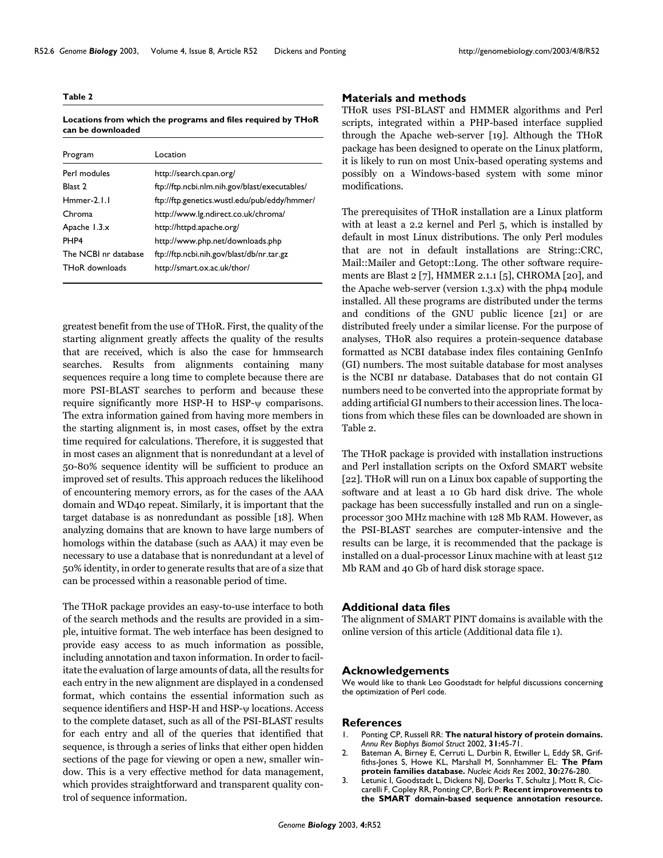#### <span id="page-5-0"></span>**Table 2**

**Locations from which the programs and files required by THoR can be downloaded**

| Program               | Location                                      |
|-----------------------|-----------------------------------------------|
| Perl modules          | http://search.cpan.org/                       |
| Blast <sub>2</sub>    | ftp://ftp.ncbi.nlm.nih.gov/blast/executables/ |
| $Hmmer-2.1.1$         | ftp://ftp.genetics.wustl.edu/pub/eddy/hmmer/  |
| Chroma                | http://www.lg.ndirect.co.uk/chroma/           |
| Apache 1.3.x          | http://httpd.apache.org/                      |
| PHP4                  | http://www.php.net/downloads.php              |
| The NCBI nr database  | ftp://ftp.ncbi.nih.gov/blast/db/nr.tar.gz     |
| <b>THoR</b> downloads | http://smart.ox.ac.uk/thor/                   |

greatest benefit from the use of THoR. First, the quality of the starting alignment greatly affects the quality of the results that are received, which is also the case for hmmsearch searches. Results from alignments containing many sequences require a long time to complete because there are more PSI-BLAST searches to perform and because these require significantly more HSP-H to HSP-ψ comparisons. The extra information gained from having more members in the starting alignment is, in most cases, offset by the extra time required for calculations. Therefore, it is suggested that in most cases an alignment that is nonredundant at a level of 50-80% sequence identity will be sufficient to produce an improved set of results. This approach reduces the likelihood of encountering memory errors, as for the cases of the AAA domain and WD40 repeat. Similarly, it is important that the target database is as nonredundant as possible [18]. When analyzing domains that are known to have large numbers of homologs within the database (such as AAA) it may even be necessary to use a database that is nonredundant at a level of 50% identity, in order to generate results that are of a size that can be processed within a reasonable period of time.

The THoR package provides an easy-to-use interface to both of the search methods and the results are provided in a simple, intuitive format. The web interface has been designed to provide easy access to as much information as possible, including annotation and taxon information. In order to facilitate the evaluation of large amounts of data, all the results for each entry in the new alignment are displayed in a condensed format, which contains the essential information such as sequence identifiers and HSP-H and HSP-ψ locations. Access to the complete dataset, such as all of the PSI-BLAST results for each entry and all of the queries that identified that sequence, is through a series of links that either open hidden sections of the page for viewing or open a new, smaller window. This is a very effective method for data management, which provides straightforward and transparent quality control of sequence information.

#### **Materials and methods**

THoR uses PSI-BLAST and HMMER algorithms and Perl scripts, integrated within a PHP-based interface supplied through the Apache web-server [19]. Although the THoR package has been designed to operate on the Linux platform, it is likely to run on most Unix-based operating systems and possibly on a Windows-based system with some minor modifications.

The prerequisites of THoR installation are a Linux platform with at least a 2.2 kernel and Perl 5, which is installed by default in most Linux distributions. The only Perl modules that are not in default installations are String::CRC, Mail::Mailer and Getopt::Long. The other software requirements are Blast 2 [7], HMMER 2.1.1 [5], CHROMA [20], and the Apache web-server (version 1.3.x) with the php4 module installed. All these programs are distributed under the terms and conditions of the GNU public licence [21] or are distributed freely under a similar license. For the purpose of analyses, THoR also requires a protein-sequence database formatted as NCBI database index files containing GenInfo (GI) numbers. The most suitable database for most analyses is the NCBI nr database. Databases that do not contain GI numbers need to be converted into the appropriate format by adding artificial GI numbers to their accession lines. The locations from which these files can be downloaded are shown in Table [2](#page-5-0).

The THoR package is provided with installation instructions and Perl installation scripts on the Oxford SMART website [22]. THoR will run on a Linux box capable of supporting the software and at least a 10 Gb hard disk drive. The whole package has been successfully installed and run on a singleprocessor 300 MHz machine with 128 Mb RAM. However, as the PSI-BLAST searches are computer-intensive and the results can be large, it is recommended that the package is installed on a dual-processor Linux machine with at least 512 Mb RAM and 40 Gb of hard disk storage space.

## **Additional data files**

The alignment of SMART PINT domains is available with the online version of this article (Additional data file 1).

#### **Acknowledgements**

We would like to thank Leo Goodstadt for helpful discussions concerning the optimization of Perl code.

#### **References**

- 1. Ponting CP, Russell RR: **[The natural history of protein domains.](http://www.ncbi.nlm.nih.gov/entrez/query.fcgi?cmd=Retrieve&db=PubMed&dopt=Abstract&list_uids=11988462)** *Annu Rev Biophys Biomol Struct* 2002, **31:**45-71.
- 2. Bateman A, Birney E, Cerruti L, Durbin R, Etwiller L, Eddy SR, Griffiths-Jones S, Howe KL, Marshall M, Sonnhammer EL: **[The Pfam](http://www.ncbi.nlm.nih.gov/entrez/query.fcgi?cmd=Retrieve&db=PubMed&dopt=Abstract&list_uids=11752314) [protein families database.](http://www.ncbi.nlm.nih.gov/entrez/query.fcgi?cmd=Retrieve&db=PubMed&dopt=Abstract&list_uids=11752314)** *Nucleic Acids Res* 2002, **30:**276-280.
- 3. Letunic I, Goodstadt L, Dickens NJ, Doerks T, Schultz J, Mott R, Ciccarelli F, Copley RR, Ponting CP, Bork P: **[Recent improvements to](http://www.ncbi.nlm.nih.gov/entrez/query.fcgi?cmd=Retrieve&db=PubMed&dopt=Abstract&list_uids=11752305) [the SMART domain-based sequence annotation resource.](http://www.ncbi.nlm.nih.gov/entrez/query.fcgi?cmd=Retrieve&db=PubMed&dopt=Abstract&list_uids=11752305)**